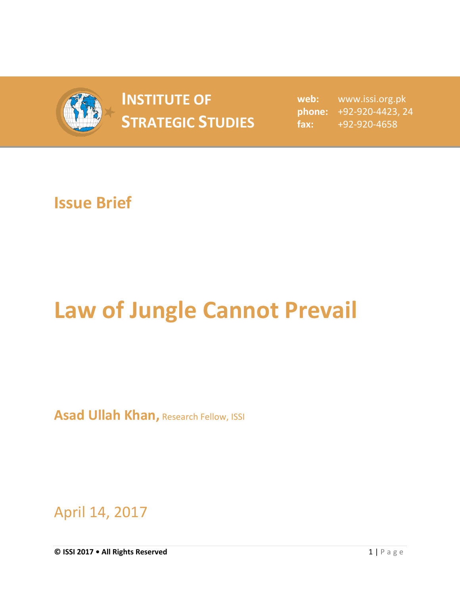

## **INSTITUTE OF STRATEGIC STUDIES**  $\begin{bmatrix} 1 & 1 \\ 1 & 2 \end{bmatrix}$

**web:** www.issi.org.pk **phone:** +92-920-4423, 24 **fax:** +92-920-4658

## **Issue Brief**

## **Law of Jungle Cannot Prevail**

**Asad Ullah Khan, Research Fellow, ISSI** 

April 14, 2017

**© ISSI 2017 • All Rights Reserved** 1 | P a g e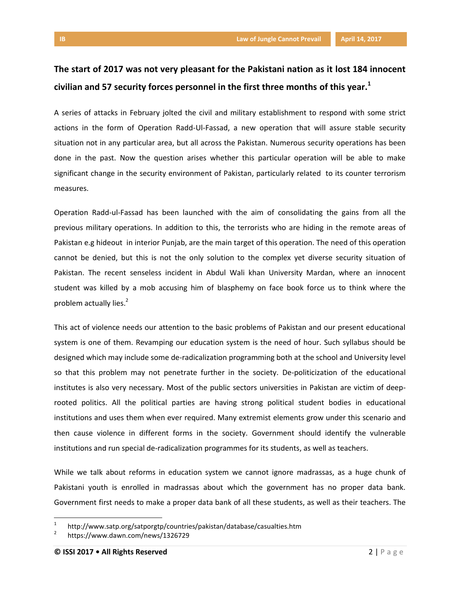## **The start of 2017 was not very pleasant for the Pakistani nation as it lost 184 innocent civilian and 57 security forces personnel in the first three months of this year.<sup>1</sup>**

A series of attacks in February jolted the civil and military establishment to respond with some strict actions in the form of Operation Radd-Ul-Fassad, a new operation that will assure stable security situation not in any particular area, but all across the Pakistan. Numerous security operations has been done in the past. Now the question arises whether this particular operation will be able to make significant change in the security environment of Pakistan, particularly related to its counter terrorism measures.

Operation Radd-ul-Fassad has been launched with the aim of consolidating the gains from all the previous military operations. In addition to this, the terrorists who are hiding in the remote areas of Pakistan e.g hideout in interior Punjab, are the main target of this operation. The need of this operation cannot be denied, but this is not the only solution to the complex yet diverse security situation of Pakistan. The recent senseless incident in Abdul Wali khan University Mardan, where an innocent student was killed by a mob accusing him of blasphemy on face book force us to think where the problem actually lies.<sup>2</sup>

This act of violence needs our attention to the basic problems of Pakistan and our present educational system is one of them. Revamping our education system is the need of hour. Such syllabus should be designed which may include some de-radicalization programming both at the school and University level so that this problem may not penetrate further in the society. De-politicization of the educational institutes is also very necessary. Most of the public sectors universities in Pakistan are victim of deeprooted politics. All the political parties are having strong political student bodies in educational institutions and uses them when ever required. Many extremist elements grow under this scenario and then cause violence in different forms in the society. Government should identify the vulnerable institutions and run special de-radicalization programmes for its students, as well as teachers.

While we talk about reforms in education system we cannot ignore madrassas, as a huge chunk of Pakistani youth is enrolled in madrassas about which the government has no proper data bank. Government first needs to make a proper data bank of all these students, as well as their teachers. The

l

<sup>1</sup> http://www.satp.org/satporgtp/countries/pakistan/database/casualties.htm

<sup>2</sup> https://www.dawn.com/news/1326729